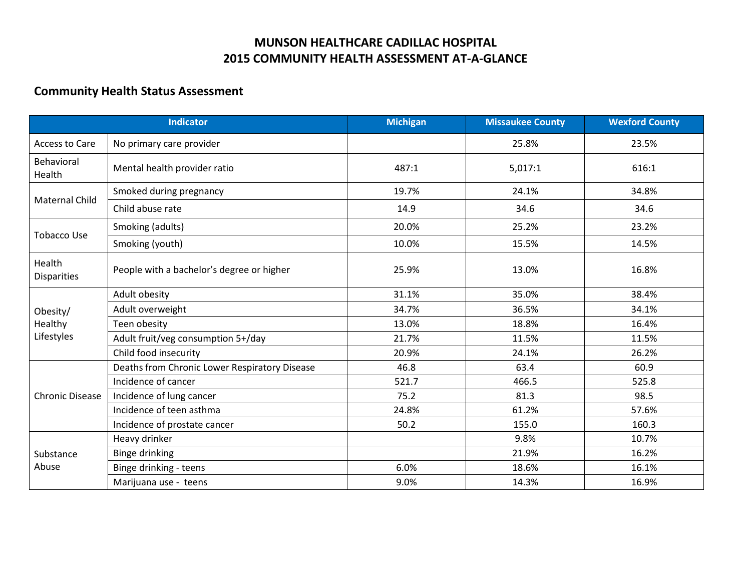## **MUNSON HEALTHCARE CADILLAC HOSPITAL 2015 COMMUNITY HEALTH ASSESSMENT AT-A-GLANCE**

## **Community Health Status Assessment**

| <b>Indicator</b>                  |                                               | <b>Michigan</b> | <b>Missaukee County</b> | <b>Wexford County</b> |
|-----------------------------------|-----------------------------------------------|-----------------|-------------------------|-----------------------|
| Access to Care                    | No primary care provider                      |                 | 25.8%                   | 23.5%                 |
| Behavioral<br>Health              | Mental health provider ratio                  | 487:1           | 5,017:1                 | 616:1                 |
| <b>Maternal Child</b>             | Smoked during pregnancy                       | 19.7%           | 24.1%                   | 34.8%                 |
|                                   | Child abuse rate                              | 14.9            | 34.6                    | 34.6                  |
| Tobacco Use                       | Smoking (adults)                              | 20.0%           | 25.2%                   | 23.2%                 |
|                                   | Smoking (youth)                               | 10.0%           | 15.5%                   | 14.5%                 |
| Health<br><b>Disparities</b>      | People with a bachelor's degree or higher     | 25.9%           | 13.0%                   | 16.8%                 |
| Obesity/<br>Healthy<br>Lifestyles | Adult obesity                                 | 31.1%           | 35.0%                   | 38.4%                 |
|                                   | Adult overweight                              | 34.7%           | 36.5%                   | 34.1%                 |
|                                   | Teen obesity                                  | 13.0%           | 18.8%                   | 16.4%                 |
|                                   | Adult fruit/veg consumption 5+/day            | 21.7%           | 11.5%                   | 11.5%                 |
|                                   | Child food insecurity                         | 20.9%           | 24.1%                   | 26.2%                 |
| <b>Chronic Disease</b>            | Deaths from Chronic Lower Respiratory Disease | 46.8            | 63.4                    | 60.9                  |
|                                   | Incidence of cancer                           | 521.7           | 466.5                   | 525.8                 |
|                                   | Incidence of lung cancer                      | 75.2            | 81.3                    | 98.5                  |
|                                   | Incidence of teen asthma                      | 24.8%           | 61.2%                   | 57.6%                 |
|                                   | Incidence of prostate cancer                  | 50.2            | 155.0                   | 160.3                 |
| Substance<br>Abuse                | Heavy drinker                                 |                 | 9.8%                    | 10.7%                 |
|                                   | Binge drinking                                |                 | 21.9%                   | 16.2%                 |
|                                   | Binge drinking - teens                        | 6.0%            | 18.6%                   | 16.1%                 |
|                                   | Marijuana use - teens                         | 9.0%            | 14.3%                   | 16.9%                 |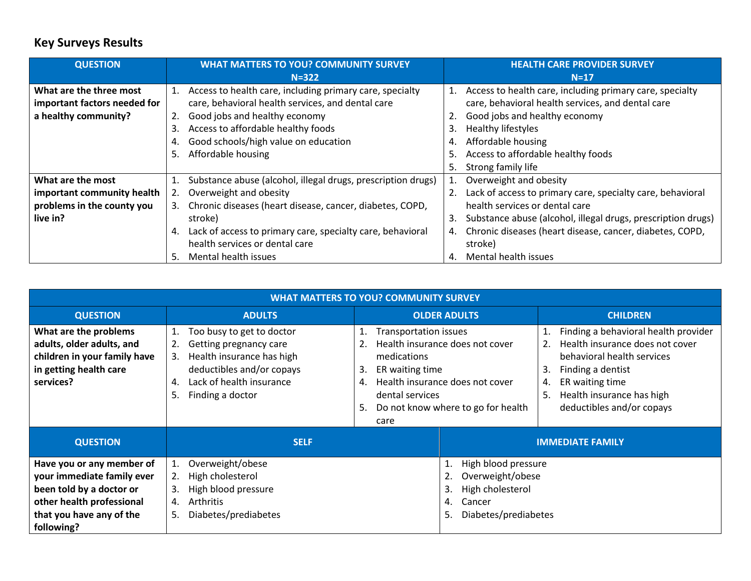## **Key Surveys Results**

| <b>QUESTION</b>              | <b>WHAT MATTERS TO YOU? COMMUNITY SURVEY</b>                       | <b>HEALTH CARE PROVIDER SURVEY</b>                                 |  |
|------------------------------|--------------------------------------------------------------------|--------------------------------------------------------------------|--|
|                              | $N = 322$                                                          | $N=17$                                                             |  |
| What are the three most      | 1. Access to health care, including primary care, specialty        | 1. Access to health care, including primary care, specialty        |  |
| important factors needed for | care, behavioral health services, and dental care                  | care, behavioral health services, and dental care                  |  |
| a healthy community?         | Good jobs and healthy economy<br>2.                                | 2. Good jobs and healthy economy                                   |  |
|                              | Access to affordable healthy foods<br>3.                           | <b>Healthy lifestyles</b><br>3.                                    |  |
|                              | Good schools/high value on education<br>4.                         | Affordable housing<br>4.                                           |  |
|                              | 5. Affordable housing                                              | Access to affordable healthy foods<br>5.                           |  |
|                              |                                                                    | Strong family life<br>5.                                           |  |
| What are the most            | Substance abuse (alcohol, illegal drugs, prescription drugs)<br>1. | 1. Overweight and obesity                                          |  |
| important community health   | Overweight and obesity                                             | 2. Lack of access to primary care, specialty care, behavioral      |  |
| problems in the county you   | Chronic diseases (heart disease, cancer, diabetes, COPD,<br>3.     | health services or dental care                                     |  |
| live in?                     | stroke)                                                            | Substance abuse (alcohol, illegal drugs, prescription drugs)<br>3. |  |
|                              | 4. Lack of access to primary care, specialty care, behavioral      | 4. Chronic diseases (heart disease, cancer, diabetes, COPD,        |  |
|                              | health services or dental care                                     | stroke)                                                            |  |
|                              | Mental health issues<br>5.                                         | Mental health issues<br>4.                                         |  |

| <b>WHAT MATTERS TO YOU? COMMUNITY SURVEY</b>                                                                                                               |                                                                                                                                                                                             |                                                                                                                         |                                                                                                          |                                                                                                                                                                                                                                 |  |  |  |
|------------------------------------------------------------------------------------------------------------------------------------------------------------|---------------------------------------------------------------------------------------------------------------------------------------------------------------------------------------------|-------------------------------------------------------------------------------------------------------------------------|----------------------------------------------------------------------------------------------------------|---------------------------------------------------------------------------------------------------------------------------------------------------------------------------------------------------------------------------------|--|--|--|
| <b>QUESTION</b>                                                                                                                                            | <b>ADULTS</b>                                                                                                                                                                               | <b>OLDER ADULTS</b>                                                                                                     |                                                                                                          | <b>CHILDREN</b>                                                                                                                                                                                                                 |  |  |  |
| What are the problems<br>adults, older adults, and<br>children in your family have<br>in getting health care<br>services?                                  | Too busy to get to doctor<br>1.<br>2.<br>Getting pregnancy care<br>Health insurance has high<br>3.<br>deductibles and/or copays<br>Lack of health insurance<br>4.<br>5.<br>Finding a doctor | <b>Transportation issues</b><br>1.<br>2.<br>medications<br>ER waiting time<br>3.<br>4.<br>dental services<br>5.<br>care | Health insurance does not cover<br>Health insurance does not cover<br>Do not know where to go for health | Finding a behavioral health provider<br>Health insurance does not cover<br>2.<br>behavioral health services<br>Finding a dentist<br>3.<br>ER waiting time<br>4.<br>Health insurance has high<br>5.<br>deductibles and/or copays |  |  |  |
| <b>QUESTION</b>                                                                                                                                            | <b>SELF</b>                                                                                                                                                                                 |                                                                                                                         | <b>IMMEDIATE FAMILY</b>                                                                                  |                                                                                                                                                                                                                                 |  |  |  |
| Have you or any member of<br>your immediate family ever<br>been told by a doctor or<br>other health professional<br>that you have any of the<br>following? | Overweight/obese<br>High cholesterol<br>2.<br>High blood pressure<br>3.<br><b>Arthritis</b><br>4.<br>Diabetes/prediabetes<br>5.                                                             |                                                                                                                         | High blood pressure<br>Overweight/obese<br>High cholesterol<br>Cancer<br>Diabetes/prediabetes<br>5.      |                                                                                                                                                                                                                                 |  |  |  |